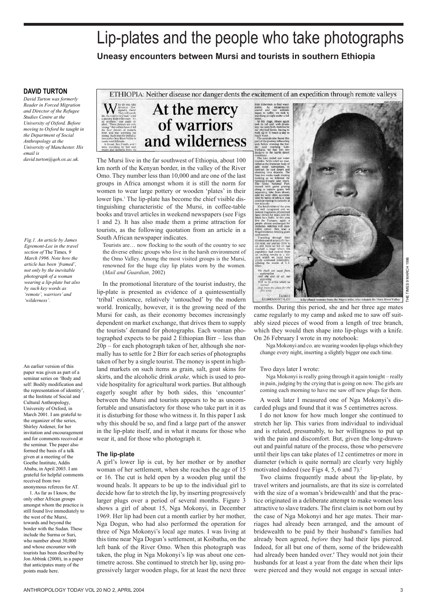# Lip-plates and the people who take photographs

**Uneasy encounters between Mursi and tourists in southern Ethiopia**

### **DAVID TURTON**

*David Turton was formerly Reader in Forced Migration and Director of the Refugee Studies Centre at the University of Oxford. Before moving to Oxford he taught in the Department of Social Anthropology at the University of Manchester. His email is david.turton@qeh.ox.ac.uk.*

*Fig.1. An article by James Egremont-Lee in the travel section of* The Times*, 9 March 1996. Note how the article has been 'framed', not only by the inevitable photograph of a woman wearing a lip-plate but also by such key words as 'remote', warriors' and 'wilderness'.*

An earlier version of this paper was given as part of a seminar series on 'Body and self: Bodily modification and the representation of identity' at the Institute of Social and Cultural Anthropology, University of Oxford, in March 2001. I am grateful to the organizer of the series, Shirley Ardener, for her invitation and encouragement and for comments received at the seminar. The paper also formed the basis of a talk given at a meeting of the Goethe Institute, Addis Ababa, in April 2003. I am grateful for helpful comments received from two anonymous referees for AT.

1. As far as I know, the only other African groups amongst whom the practice is still found live immediately to the west of the Mursi, towards and beyond the border with the Sudan. These include the Surma or Suri, who number about 30,000 and whose encounter with tourists has been described by Jon Abbink (2000), in a paper that anticipates many of the points made here.



## of warriors and wilderness

The Mursi live in the far southwest of Ethiopia, about 100 km north of the Kenyan border, in the valley of the River Omo. They number less than 10,000 and are one of the last groups in Africa amongst whom it is still the norm for women to wear large pottery or wooden 'plates' in their lower lips.<sup>1</sup> The lip-plate has become the chief visible distinguishing characteristic of the Mursi, in coffee-table books and travel articles in weekend newspapers (see Figs 1 and 2). It has also made them a prime attraction for tourists, as the following quotation from an article in a South African newspaper indicates.

Tourists are… now flocking to the south of the country to see the diverse ethnic groups who live in the harsh environment of the Omo Valley. Among the most visited groups is the Mursi, renowned for the huge clay lip plates worn by the women. (*Mail and Guardian,* 2002)

In the promotional literature of the tourist industry, the lip-plate is presented as evidence of a quintessentially 'tribal' existence, relatively 'untouched' by the modern world. Ironically, however, it is the growing need of the Mursi for cash, as their economy becomes increasingly dependent on market exchange, that drives them to supply the tourists' demand for photographs. Each woman photographed expects to be paid 2 Ethiopian Birr – less than 20p – for each photograph taken of her, although she normally has to settle for 2 Birr for each series of photographs taken of her by a single tourist. The money is spent in highland markets on such items as grain, salt, goat skins for skirts, and the alcoholic drink *arake,* which is used to provide hospitality for agricultural work parties. But although eagerly sought after by both sides, this 'encounter' between the Mursi and tourists appears to be as uncomfortable and unsatisfactory for those who take part in it as it is disturbing for those who witness it. In this paper I ask why this should be so, and find a large part of the answer in the lip-plate itself, and in what it means for those who wear it, and for those who photograph it.

#### **The lip-plate**

A girl's lower lip is cut, by her mother or by another woman of her settlement, when she reaches the age of 15 or 16. The cut is held open by a wooden plug until the wound heals. It appears to be up to the individual girl to decide how far to stretch the lip, by inserting progressively larger plugs over a period of several months. Figure 3 shows a girl of about 15, Nga Mokonyi, in December 1969. Her lip had been cut a month earlier by her mother, Nga Dogun, who had also performed the operation for three of Nga Mokonyi's local age mates. I was living at this time near Nga Dogun's settlement, at Koibatha, on the left bank of the River Omo. When this photograph was taken, the plug in Nga Mokonyi's lip was about one centimetre across. She continued to stretch her lip, using progressively larger wooden plugs, for at least the next three



months. During this period, she and her three age mates came regularly to my camp and asked me to saw off suitably sized pieces of wood from a length of tree branch, which they would then shape into lip-plugs with a knife. On 26 February I wrote in my notebook:

Nga Mokonyi and co. are wearing wooden lip-plugs which they change every night, inserting a slightly bigger one each time.

#### Two days later I wrote:

Nga Mokonyi is really going through it again tonight – really in pain, judging by the crying that is going on now. The girls are coming each morning to have me saw off new plugs for them.

A week later I measured one of Nga Mokonyi's discarded plugs and found that it was 5 centimetres across.

I do not know for how much longer she continued to stretch her lip. This varies from individual to individual and is related, presumably, to her willingness to put up with the pain and discomfort. But, given the long-drawnout and painful nature of the process, those who persevere until their lips can take plates of 12 centimetres or more in diameter (which is quite normal) are clearly very highly motivated indeed (see Figs 4, 5, 6 and 7).<sup>2</sup>

Two claims frequently made about the lip-plate, by travel writers and journalists, are that its size is correlated with the size of a woman's bridewealth<sup>3</sup> and that the practice originated in a deliberate attempt to make women less attractive to slave traders. The first claim is not born out by the case of Nga Mokonyi and her age mates. Their marriages had already been arranged, and the amount of bridewealth to be paid by their husband's families had already been agreed, *before* they had their lips pierced. Indeed, for all but one of them, some of the bridewealth had already been handed over.<sup>4</sup> They would not join their husbands for at least a year from the date when their lips were pierced and they would not engage in sexual inter-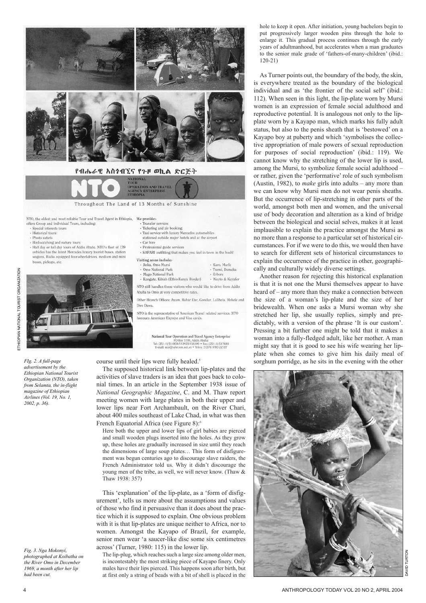

Throughout The Land of 13 Months of Sunshine

**ATION AND TRAVEL**<br>CY ENTERPRISE

 $\rm{NTO},$  the oldest and most reliable Tour and Travel Agent in Ethiopia, Woffers Group and Individual Tours, including:

- Special interests tours
- · Historical tours
- Photo safaris
- · Bird-watching and nature tours
- Half day or full day tours of Addis Ababa. NTO's fleet of 139<br>vehicles has the latest Mercedes luxury tourist buses, station wagons, Radio equipped four-wheel-drives, medium and mini buses, pickups, etc.

*advertisement by the Ethiopian National Tourist Organization (NTO), taken from Selamta, the in-flight magazine of Ethiopian Airlines (Vol. 19, No. 1, 2002, p. 36).*

*Fig. 3. Nga Mokonyi, photographed at Koibatha on the River Omo in December 1969, a month after her lip had been cut.*

| We provide:-<br>· Transfer services<br>· Ticketing and air booking<br>· Taxi service with luxury Mercedes automobiles<br>stationed outside major hotels and at the airport<br>· Car hire<br>· Professional guide services<br>· SAFARI outfitting that makes you feel in town in the bush!<br>Visiting areas include:-<br>· Jinka, Omo Mursi | · Karo, Murle                                    |
|---------------------------------------------------------------------------------------------------------------------------------------------------------------------------------------------------------------------------------------------------------------------------------------------------------------------------------------------|--------------------------------------------------|
| · Omo National Park<br>· Mago National Park<br>· Kangate, Kibish (Ethio-Kenya Border)                                                                                                                                                                                                                                                       | · Turmi, Demeka<br>· Erbore<br>· Weyto & Keyafer |
| NTO still handles those visitors who would like to drive from Addis<br>Ababa to Omo at very competitive rates.                                                                                                                                                                                                                              |                                                  |
| Other Branch Offices: Axum, Bahar Dar, Gondar, Lalibela, Mekele a                                                                                                                                                                                                                                                                           |                                                  |

Dire Dawa

NTO is the representative of American Travel related services. NTO honours American Express and Visa cards

> National Tour Operation and Travel Agency Enterprise PO Box 5709, Addis Ababa<br>Tel: (251-1) 514838/512923/156109 • Fax: (251-1) 517688<br>E-mail: nto@telecom.net.et • Telex: 21370 NTO ZZ ET

course until their lips were fully healed.<sup>5</sup>

The supposed historical link between lip-plates and the activities of slave traders is an idea that goes back to colonial times. In an article in the September 1938 issue of *National Geographic Magazine*, C. and M. Thaw report meeting women with large plates in both their upper and lower lips near Fort Archambault, on the River Chari, about 400 miles southeast of Lake Chad, in what was then French Equatorial Africa (see Figure 8):6

Here both the upper and lower lips of girl babies are pierced and small wooden plugs inserted into the holes. As they grow up, these holes are gradually increased in size until they reach the dimensions of large soup plates… This form of disfigurement was begun centuries ago to discourage slave raiders, the French Administrator told us. Why it didn't discourage the young men of the tribe, as well, we will never know. (Thaw & Thaw 1938: 357)

This 'explanation' of the lip-plate, as a 'form of disfigurement', tells us more about the assumptions and values of those who find it persuasive than it does about the practice which it is supposed to explain. One obvious problem with it is that lip-plates are unique neither to Africa, nor to women. Amongst the Kayapo of Brazil, for example, senior men wear 'a saucer-like disc some six centimetres across' (Turner, 1980: 115) in the lower lip.

The lip-plug, which reaches such a large size among older men, is incontestably the most striking piece of Kayapo finery. Only males have their lips pierced. This happens soon after birth, but at first only a string of beads with a bit of shell is placed in the hole to keep it open. After initiation, young bachelors begin to put progressively larger wooden pins through the hole to enlarge it. This gradual process continues through the early years of adultmanhood, but accelerates when a man graduates to the senior male grade of 'fathers-of-many-children' (ibid.: 120-21)

As Turner points out, the boundary of the body, the skin, is everywhere treated as the boundary of the biological individual and as 'the frontier of the social self' (ibid.: 112). When seen in this light, the lip-plate worn by Mursi women is an expression of female social adulthood and reproductive potential. It is analogous not only to the lipplate worn by a Kayapo man, which marks his fully adult status, but also to the penis sheath that is 'bestowed' on a Kayapo boy at puberty and which 'symbolises the collective appropriation of male powers of sexual reproduction for purposes of social reproduction' (ibid.: 119). We cannot know why the stretching of the lower lip is used, among the Mursi, to symbolize female social adulthood – or rather, given the 'performative' role of such symbolism (Austin, 1982), to *make* girls into adults – any more than we can know why Mursi men do not wear penis sheaths. But the occurrence of lip-stretching in other parts of the world, amongst both men and women, and the universal use of body decoration and alteration as a kind of bridge between the biological and social selves, makes it at least implausible to explain the practice amongst the Mursi as no more than a response to a particular set of historical circumstances. For if we were to do this, we would then have to search for different sets of historical circumstances to explain the occurrence of the practice in other, geographically and culturally widely diverse settings.

Another reason for rejecting this historical explanation is that it is not one the Mursi themselves appear to have heard of – any more than they make a connection between the size of a woman's lip-plate and the size of her bridewealth. When one asks a Mursi woman why she stretched her lip, she usually replies, simply and predictably, with a version of the phrase 'It is our custom'. Pressing a bit further one might be told that it makes a woman into a fully-fledged adult, like her mother. A man might say that it is good to see his wife wearing her lipplate when she comes to give him his daily meal of *FIg. 2. A full-page* sorghum porridge, as he sits in the evening with the other

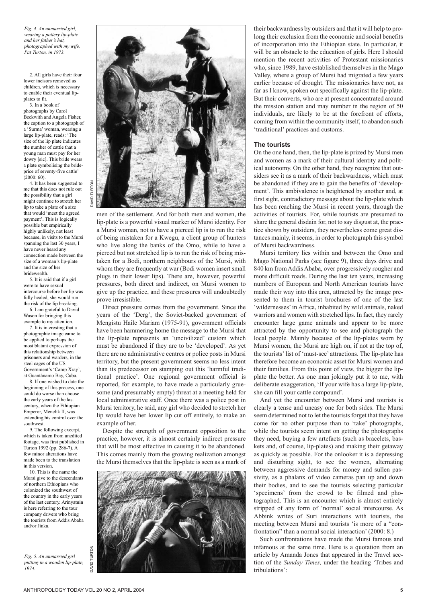*Fig. 4. An unmarried girl, wearing a pottery lip-plate and her father's hat, photographed with my wife, Pat Turton, in 1973.*

2. All girls have their four lower incisors removed as children, which is necessary to enable their eventual lipplates to fit.

3. In a book of photographs by Carol Beckwith and Angela Fisher, the caption to a photograph of a 'Surma' woman, wearing a large lip-plate, reads: 'The size of the lip plate indicates the number of cattle that a young man must pay for her dowry [sic]. This bride wears a plate symbolising the brideprice of seventy-five cattle' (2000: 60).

4. It has been suggested to me that this does not rule out the possibility that a girl might continue to stretch her lip to take a plate of a size that would 'meet the agreed payment'. This is logically possible but empirically highly unlikely, not least because, in visits to the Mursi spanning the last 30 years, I have never heard any connection made between the size of a woman's lip-plate and the size of her bridewealth.

5. It is said that if a girl were to have sexual intercourse before her lip was fully healed, she would run the risk of the lip breaking.

6. I am grateful to David Wason for bringing this example to my attention.

7. It is interesting that a photographic image came to be applied to perhaps the most blatant expression of this relationship between prisoners and warders, in the steel cages of the US Government's 'Camp Xray', at Guantánamo Bay, Cuba.

8. If one wished to date the beginning of this process, one could do worse than choose the early years of the last century, when the Ethiopian Emperor, Menelik II, was extending his control over the southwest.

9. The following excerpt, which is taken from unedited footage, was first published in Turton 1992 (pp. 286-7). A few minor alterations have made been to the translation in this version.

10. This is the name the Mursi give to the descendants of northern Ethiopians who colonized the southwest of the country in the early years of the last century. Arinyatuin is here referring to the tour company drivers who bring the tourists from Addis Ababa and/or Jinka.

*Fig. 5. An unmarried girl putting in a wooden lip-plate, 1974.*



men of the settlement. And for both men and women, the lip-plate is a powerful visual marker of Mursi identity. For a Mursi woman, not to have a pierced lip is to run the risk of being mistaken for a Kwegu, a client group of hunters who live along the banks of the Omo, while to have a pierced but not stretched lip is to run the risk of being mistaken for a Bodi, northern neighbours of the Mursi, with whom they are frequently at war (Bodi women insert small plugs in their lower lips). There are, however, powerful pressures, both direct and indirect, on Mursi women to give up the practice, and these pressures will undoubtedly prove irresistible.

Direct pressure comes from the government. Since the years of the 'Derg', the Soviet-backed government of Mengistu Haile Mariam (1975-91), government officials have been hammering home the message to the Mursi that the lip-plate represents an 'uncivilized' custom which must be abandoned if they are to be 'developed'. As yet there are no administrative centres or police posts in Mursi territory, but the present government seems no less intent than its predecessor on stamping out this 'harmful traditional practice'. One regional government official is reported, for example, to have made a particularly gruesome (and presumably empty) threat at a meeting held for local administrative staff. Once there was a police post in Mursi territory, he said, any girl who decided to stretch her lip would have her lower lip cut off entirely, to make an example of her.

Despite the strength of government opposition to the practice, however, it is almost certainly indirect pressure that will be most effective in causing it to be abandoned. This comes mainly from the growing realization amongst the Mursi themselves that the lip-plate is seen as a mark of



their backwardness by outsiders and that it will help to prolong their exclusion from the economic and social benefits of incorporation into the Ethiopian state. In particular, it will be an obstacle to the education of girls. Here I should mention the recent activities of Protestant missionaries who, since 1989, have established themselves in the Mago Valley, where a group of Mursi had migrated a few years earlier because of drought. The missionaries have not, as far as I know, spoken out specifically against the lip-plate. But their converts, who are at present concentrated around the mission station and may number in the region of 50 individuals, are likely to be at the forefront of efforts, coming from within the community itself, to abandon such 'traditional' practices and customs.

#### **The tourists**

On the one hand, then, the lip-plate is prized by Mursi men and women as a mark of their cultural identity and political autonomy. On the other hand, they recognize that outsiders see it as a mark of their backwardness, which must be abandoned if they are to gain the benefits of 'development'. This ambivalence is heightened by another and, at first sight, contradictory message about the lip-plate which has been reaching the Mursi in recent years, through the activities of tourists. For, while tourists are presumed to share the general disdain for, not to say disgust at, the practice shown by outsiders, they nevertheless come great distances mainly, it seems, in order to photograph this symbol of Mursi backwardness.

Mursi territory lies within and between the Omo and Mago National Parks (see figure 9), three days drive and 840 km from Addis Ababa, over progressively rougher and more difficult roads. During the last ten years, increasing numbers of European and North American tourists have made their way into this area, attracted by the image presented to them in tourist brochures of one of the last 'wildernesses' in Africa, inhabited by wild animals, naked warriors and women with stretched lips. In fact, they rarely encounter large game animals and appear to be more attracted by the opportunity to see and photograph the local people. Mainly because of the lip-plates worn by Mursi women, the Mursi are high on, if not at the top of, the tourists' list of 'must-see' attractions. The lip-plate has therefore become an economic asset for Mursi women and their families. From this point of view, the bigger the lipplate the better. As one man jokingly put it to me, with deliberate exaggeration, 'If your wife has a large lip-plate, she can fill your cattle compound'.

And yet the encounter between Mursi and tourists is clearly a tense and uneasy one for both sides. The Mursi seem determined not to let the tourists forget that they have come for no other purpose than to 'take' photographs, while the tourists seem intent on getting the photographs they need, buying a few artefacts (such as bracelets, baskets and, of course, lip-plates) and making their getaway as quickly as possible. For the onlooker it is a depressing and disturbing sight, to see the women, alternating between aggressive demands for money and sullen passivity, as a phalanx of video cameras pan up and down their bodies, and to see the tourists selecting particular 'specimens' from the crowd to be filmed and photographed. This is an encounter which is almost entirely stripped of any form of 'normal' social intercourse. As Abbink writes of Suri interactions with tourists, the meeting between Mursi and tourists 'is more of a "confrontation" than a normal social interaction' (2000: 8.)

Such confrontations have made the Mursi famous and infamous at the same time. Here is a quotation from an article by Amanda Jones that appeared in the Travel section of the *Sunday Times,* under the heading 'Tribes and tribulations':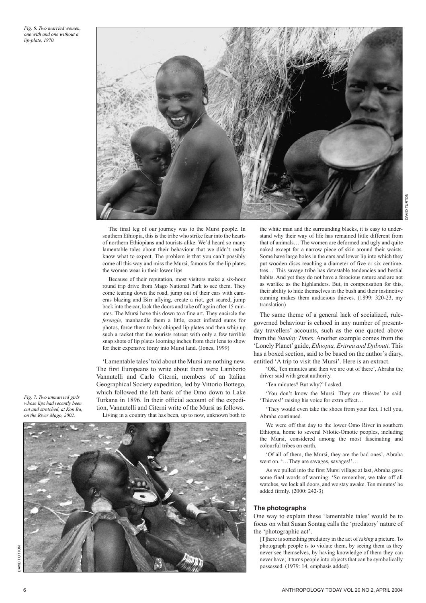*Fig. 6. Two married women, one with and one without a lip-plate, 1970.*



The final leg of our journey was to the Mursi people. In southern Ethiopia, this is the tribe who strike fear into the hearts of northern Ethiopians and tourists alike. We'd heard so many lamentable tales about their behaviour that we didn't really know what to expect. The problem is that you can't possibly come all this way and miss the Mursi, famous for the lip plates the women wear in their lower lips.

Because of their reputation, most visitors make a six-hour round trip drive from Mago National Park to see them. They come tearing down the road, jump out of their cars with cameras blazing and Birr aflying, create a riot, get scared, jump back into the car, lock the doors and take off again after 15 minutes. The Mursi have this down to a fine art. They encircle the *ferengie,* manhandle them a little, exact inflated sums for photos, force them to buy chipped lip plates and then whip up such a racket that the tourists retreat with only a few terrible snap shots of lip plates looming inches from their lens to show for their expensive foray into Mursi land. (Jones, 1999)

'Lamentable tales'told about the Mursi are nothing new. The first Europeans to write about them were Lamberto Vannutelli and Carlo Citerni, members of an Italian Geographical Society expedition, led by Vittorio Bottego, which followed the left bank of the Omo down to Lake Turkana in 1896. In their official account of the expedition, Vannutelli and Citerni write of the Mursi as follows.

Living in a country that has been, up to now, unknown both to



the white man and the surrounding blacks, it is easy to understand why their way of life has remained little different from that of animals… The women are deformed and ugly and quite naked except for a narrow piece of skin around their waists. Some have large holes in the ears and lower lip into which they put wooden discs reaching a diameter of five or six centimetres… This savage tribe has detestable tendencies and bestial habits. And yet they do not have a ferocious nature and are not as warlike as the highlanders. But, in compensation for this, their ability to hide themselves in the bush and their instinctive cunning makes them audacious thieves. (1899: 320-23, my translation)

The same theme of a general lack of socialized, rulegoverned behaviour is echoed in any number of presentday travellers' accounts, such as the one quoted above from the *Sunday Times.* Another example comes from the 'Lonely Planet'guide, *Ethiopia, Eritrea and Djibouti.* This has a boxed section, said to be based on the author's diary, entitled 'A trip to visit the Mursi'. Here is an extract.

'OK, Ten minutes and then we are out of there', Abraha the driver said with great authority.

'Ten minutes? But why?' I asked.

'You don't know the Mursi. They are thieves' he said. 'Thieves!' raising his voice for extra effect…

'They would even take the shoes from your feet, I tell you, Abraha continued.

We were off that day to the lower Omo River in southern Ethiopia, home to several Nilotic-Omotic peoples, including the Mursi, considered among the most fascinating and colourful tribes on earth.

'Of all of them, the Mursi, they are the bad ones', Abraha went on. '...They are savages, savages!'...

As we pulled into the first Mursi village at last, Abraha gave some final words of warning: 'So remember, we take off all watches, we lock all doors, and we stay awake. Ten minutes' he added firmly. (2000: 242-3)

#### **The photographs**

One way to explain these 'lamentable tales' would be to focus on what Susan Sontag calls the 'predatory' nature of the 'photographic act'.

[T]here is something predatory in the act of *taking* a picture. To photograph people is to violate them, by seeing them as they never see themselves, by having knowledge of them they can never have; it turns people into objects that can be symbolically possessed. (1979: 14, emphasis added)

*Fig. 7. Two unmarried girls whose lips had recently been cut and stretched, at Kon Ba, on the River Mago, 2002.*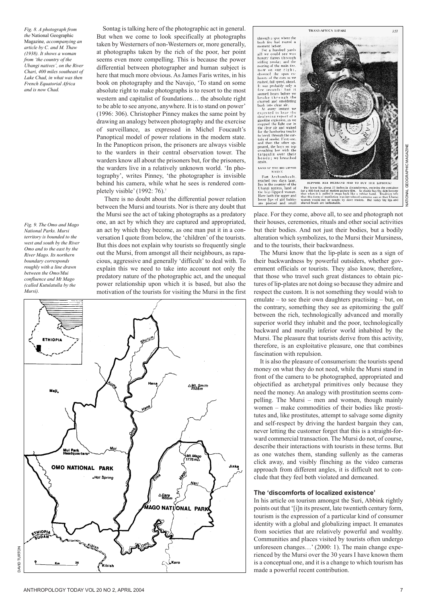*Fig. 8. A photograph from the* National Geographic Magazine*, accompanying an article by C. and M. Thaw (1938). It shows a woman from 'the country of the Ubangi natives', on the River Chari, 400 miles southeast of Lake Chad, in what was then French Equatorial Africa and is now Chad.*

*Fig. 9. The Omo and Mago National Parks. Mursi territory is bounded to the west and south by the River Omo and to the east by the River Mago. Its northern boundary corresponds roughly with a line drawn between the Omo/Mui confluence and Mt Mago (called Kutulatulla by the Mursi).*

Sontag is talking here of the photographic act in general. But when we come to look specifically at photographs taken by Westerners of non-Westerners or, more generally, at photographs taken by the rich of the poor, her point seems even more compelling. This is because the power differential between photographer and human subject is here that much more obvious. As James Faris writes, in his book on photography and the Navajo, 'To stand on some absolute right to make photographs is to resort to the most western and capitalist of foundations… the absolute right to be able to see anyone, anywhere. It is to stand on power' (1996: 306). Christopher Pinney makes the same point by drawing an analogy between photography and the exercise of surveillance, as expressed in Michel Foucault's Panoptical model of power relations in the modern state. In the Panopticon prison, the prisoners are always visible to the warders in their central observation tower. The warders know all about the prisoners but, for the prisoners, the warders live in a relatively unknown world. 'In photography', writes Pinney, 'the photographer is invisible behind his camera, while what he sees is rendered completely visible' (1992: 76).<sup>7</sup>

There is no doubt about the differential power relation between the Mursi and tourists. Nor is there any doubt that the Mursi see the act of taking photographs as a predatory one, an act by which they are captured and appropriated, an act by which they become, as one man put it in a conversation I quote from below, the 'children' of the tourists. But this does not explain why tourists so frequently single out the Mursi, from amongst all their neighbours, as rapacious, aggressive and generally 'difficult' to deal with. To explain this we need to take into account not only the predatory nature of the photographic act, and the unequal power relationship upon which it is based, but also the motivation of the tourists for visiting the Mursi in the first





357

place. For they come, above all, to see and photograph not their houses, ceremonies, rituals and other social activities but their bodies. And not just their bodies, but a bodily alteration which symbolizes, to the Mursi their Mursiness, and to the tourists, their backwardness.

**WOMEN** 

TRANS-AFRICA SAFARE

The Mursi know that the lip-plate is seen as a sign of their backwardness by powerful outsiders, whether government officials or tourists. They also know, therefore, that those who travel such great distances to obtain pictures of lip-plates are not doing so because they admire and respect the custom. It is not something they would wish to emulate – to see their own daughters practising – but, on the contrary, something they see as epitomizing the gulf between the rich, technologically advanced and morally superior world they inhabit and the poor, technologically backward and morally inferior world inhabited by the Mursi. The pleasure that tourists derive from this activity, therefore, is an exploitative pleasure, one that combines fascination with repulsion.

It is also the pleasure of consumerism: the tourists spend money on what they do not need, while the Mursi stand in front of the camera to be photographed, appropriated and objectified as archetypal primitives only because they need the money. An analogy with prostitution seems compelling. The Mursi – men and women, though mainly women – make commodities of their bodies like prostitutes and, like prostitutes, attempt to salvage some dignity and self-respect by driving the hardest bargain they can, never letting the customer forget that this is a straight-forward commercial transaction. The Mursi do not, of course, describe their interactions with tourists in these terms. But as one watches them, standing sullenly as the cameras click away, and visibly flinching as the video cameras approach from different angles, it is difficult not to conclude that they feel both violated and demeaned.

#### **The 'discomforts of localized existence'**

In his article on tourism amongst the Suri, Abbink rightly points out that '[i]n its present, late twentieth century form, tourism is the expression of a particular kind of consumer identity with a global and globalizing impact. It emanates from societies that are relatively powerful and wealthy. Communities and places visited by tourists often undergo unforeseen changes…' (2000: 1). The main change experienced by the Mursi over the 30 years I have known them is a conceptual one, and it is a change to which tourism has made a powerful recent contribution.